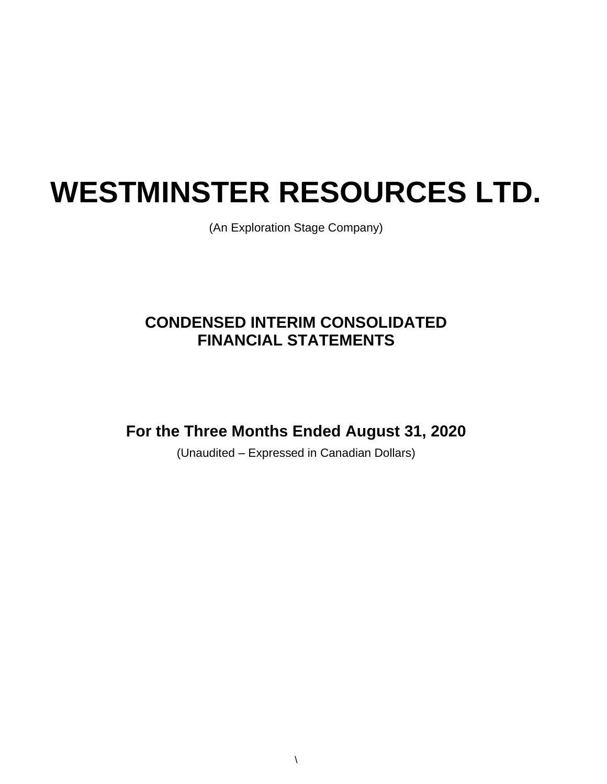# **WESTMINSTER RESOURCES LTD.**

(An Exploration Stage Company)

# **CONDENSED INTERIM CONSOLIDATED FINANCIAL STATEMENTS**

**For the Three Months Ended August 31, 2020**

(Unaudited – Expressed in Canadian Dollars)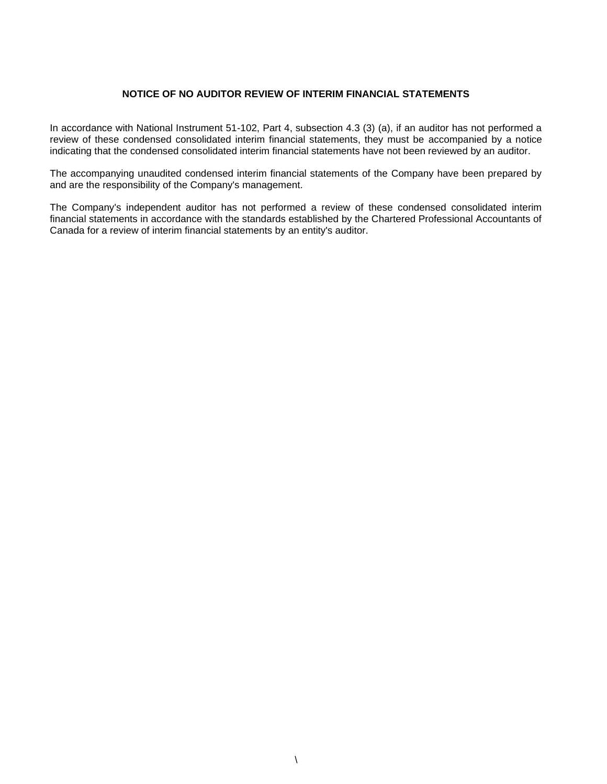#### **NOTICE OF NO AUDITOR REVIEW OF INTERIM FINANCIAL STATEMENTS**

In accordance with National Instrument 51-102, Part 4, subsection 4.3 (3) (a), if an auditor has not performed a review of these condensed consolidated interim financial statements, they must be accompanied by a notice indicating that the condensed consolidated interim financial statements have not been reviewed by an auditor.

The accompanying unaudited condensed interim financial statements of the Company have been prepared by and are the responsibility of the Company's management.

The Company's independent auditor has not performed a review of these condensed consolidated interim financial statements in accordance with the standards established by the Chartered Professional Accountants of Canada for a review of interim financial statements by an entity's auditor.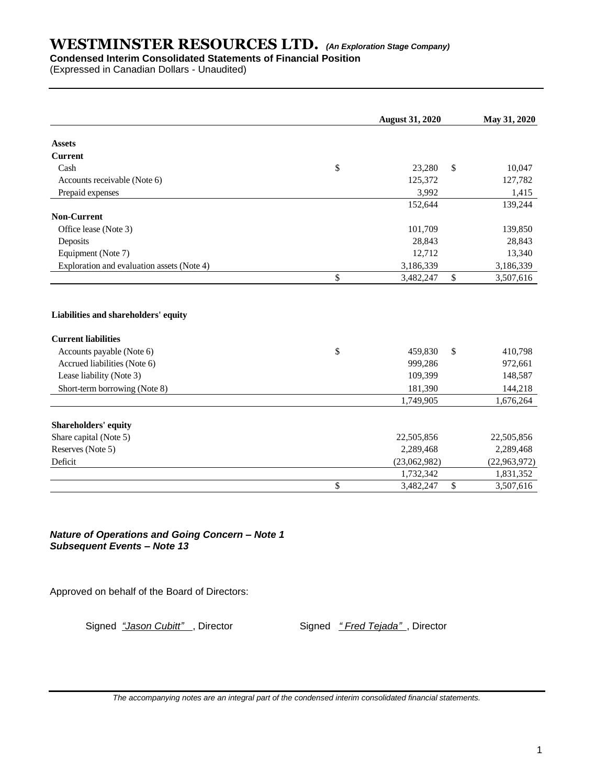### **Condensed Interim Consolidated Statements of Financial Position**

(Expressed in Canadian Dollars - Unaudited)

|                                            | <b>August 31, 2020</b> |              | May 31, 2020 |
|--------------------------------------------|------------------------|--------------|--------------|
| <b>Assets</b>                              |                        |              |              |
| <b>Current</b>                             |                        |              |              |
| Cash                                       | \$<br>23,280           | \$           | 10,047       |
| Accounts receivable (Note 6)               | 125,372                |              | 127,782      |
| Prepaid expenses                           | 3,992                  |              | 1,415        |
|                                            | 152,644                |              | 139,244      |
| <b>Non-Current</b>                         |                        |              |              |
| Office lease (Note 3)                      | 101,709                |              | 139,850      |
| Deposits                                   | 28,843                 |              | 28,843       |
| Equipment (Note 7)                         | 12,712                 |              | 13,340       |
| Exploration and evaluation assets (Note 4) | 3,186,339              |              | 3,186,339    |
|                                            | \$<br>3,482,247        | $\mathbb{S}$ | 3,507,616    |
| Liabilities and shareholders' equity       |                        |              |              |
| <b>Current liabilities</b>                 |                        |              |              |
| Accounts payable (Note 6)                  | \$<br>459,830          | $\mathbb{S}$ | 410,798      |
| Accrued liabilities (Note 6)               | 999,286                |              | 972,661      |
| Lease liability (Note 3)                   | 109,399                |              | 148,587      |
| Short-term borrowing (Note 8)              | 181,390                |              | 144,218      |
|                                            | 1,749,905              |              | 1,676,264    |
| Shareholders' equity                       |                        |              |              |
| Share capital (Note 5)                     | 22,505,856             |              | 22,505,856   |
| Reserves (Note 5)                          | 2,289,468              |              | 2,289,468    |
| Deficit                                    | (23,062,982)           |              | (22,963,972) |
|                                            | 1,732,342              |              | 1,831,352    |
|                                            | \$<br>3,482,247        | \$           | 3,507,616    |
|                                            |                        |              |              |

*Nature of Operations and Going Concern – Note 1 Subsequent Events – Note 13*

Approved on behalf of the Board of Directors:

Signed *"Jason Cubitt"*, Director Signed *" Fred Tejada"*, Director

*The accompanying notes are an integral part of the condensed interim consolidated financial statements.*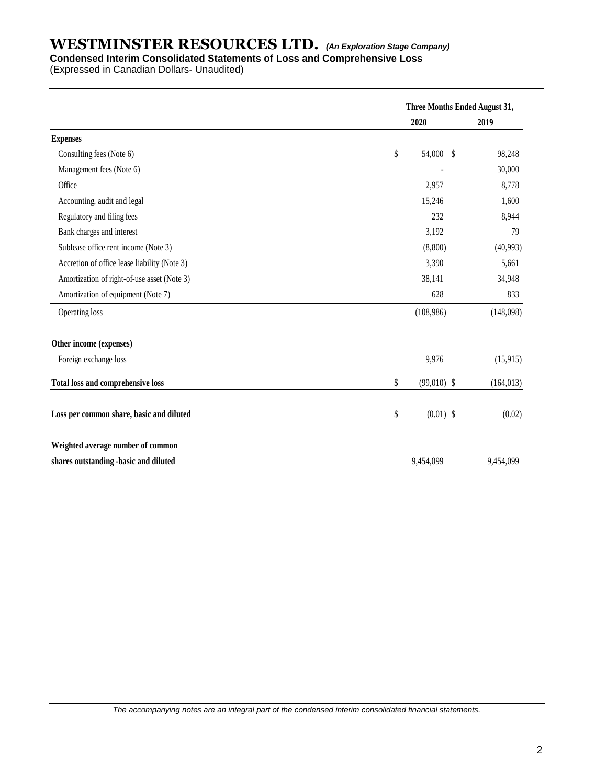#### **Condensed Interim Consolidated Statements of Loss and Comprehensive Loss**

(Expressed in Canadian Dollars- Unaudited)

|                                              | Three Months Ended August 31, |            |
|----------------------------------------------|-------------------------------|------------|
|                                              | 2020                          | 2019       |
| <b>Expenses</b>                              |                               |            |
| Consulting fees (Note 6)                     | \$<br>54,000 \$               | 98,248     |
| Management fees (Note 6)                     |                               | 30,000     |
| Office                                       | 2,957                         | 8,778      |
| Accounting, audit and legal                  | 15,246                        | 1,600      |
| Regulatory and filing fees                   | 232                           | 8,944      |
| Bank charges and interest                    | 3,192                         | 79         |
| Sublease office rent income (Note 3)         | (8,800)                       | (40,993)   |
| Accretion of office lease liability (Note 3) | 3,390                         | 5,661      |
| Amortization of right-of-use asset (Note 3)  | 38,141                        | 34,948     |
| Amortization of equipment (Note 7)           | 628                           | 833        |
| Operating loss                               | (108,986)                     | (148,098)  |
| Other income (expenses)                      |                               |            |
| Foreign exchange loss                        | 9,976                         | (15,915)   |
| <b>Total loss and comprehensive loss</b>     | \$<br>$(99,010)$ \$           | (164, 013) |
| Loss per common share, basic and diluted     | \$<br>$(0.01)$ \$             | (0.02)     |
| Weighted average number of common            |                               |            |
| shares outstanding -basic and diluted        | 9,454,099                     | 9,454,099  |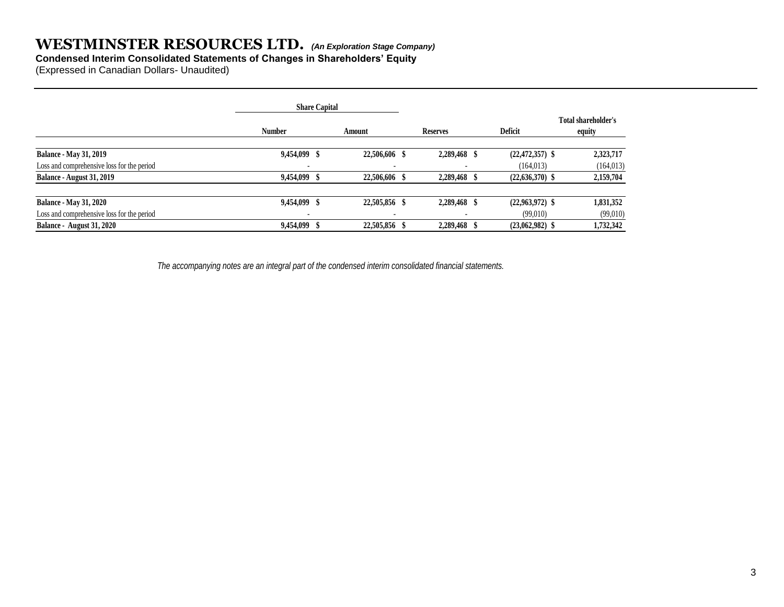#### **Condensed Interim Consolidated Statements of Changes in Shareholders' Equity**

(Expressed in Canadian Dollars- Unaudited)

|                                            |               | <b>Share Capital</b> |               |  |                 |                     |                               |  |
|--------------------------------------------|---------------|----------------------|---------------|--|-----------------|---------------------|-------------------------------|--|
|                                            | <b>Number</b> |                      | Amount        |  | <b>Reserves</b> | <b>Deficit</b>      | Total shareholder's<br>equity |  |
| <b>Balance - May 31, 2019</b>              | 9,454,099 \$  |                      | 22,506,606 \$ |  | 2,289,468 \$    | $(22, 472, 357)$ \$ | 2,323,717                     |  |
| Loss and comprehensive loss for the period |               |                      |               |  |                 | (164, 013)          | (164, 013)                    |  |
| <b>Balance - August 31, 2019</b>           | 9,454,099 \$  |                      | 22,506,606 \$ |  | 2,289,468       | $(22,636,370)$ \$   | 2,159,704                     |  |
| <b>Balance - May 31, 2020</b>              | 9,454,099 \$  |                      | 22,505,856 \$ |  | 2,289,468 \$    | $(22,963,972)$ \$   | 1,831,352                     |  |
| Loss and comprehensive loss for the period |               |                      |               |  |                 | (99,010)            | (99,010)                      |  |
| Balance - August 31, 2020                  | 9,454,099 \$  |                      | 22,505,856 \$ |  | 2,289,468       | $(23,062,982)$ \$   | 1,732,342                     |  |

 *The accompanying notes are an integral part of the condensed interim consolidated financial statements.*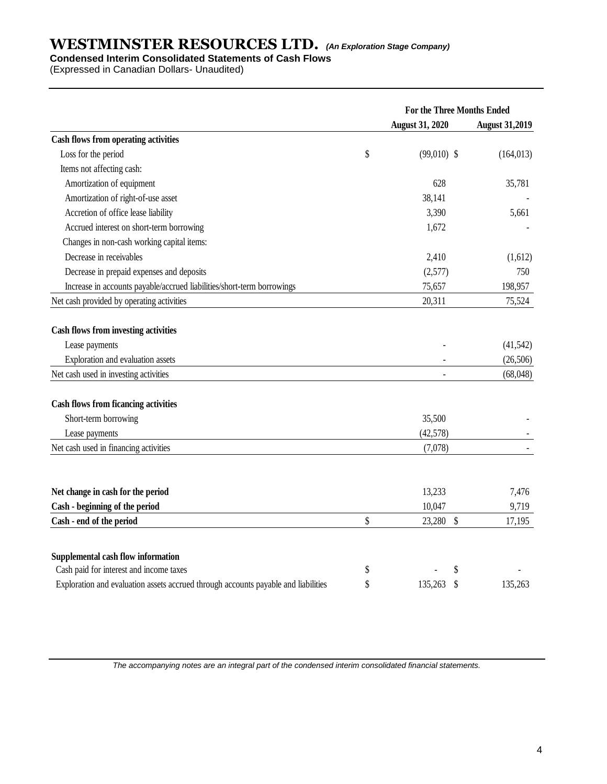### **Condensed Interim Consolidated Statements of Cash Flows**

(Expressed in Canadian Dollars- Unaudited)

|                                                                                    | For the Three Months Ended |                       |  |  |
|------------------------------------------------------------------------------------|----------------------------|-----------------------|--|--|
|                                                                                    | <b>August 31, 2020</b>     | <b>August 31,2019</b> |  |  |
| <b>Cash flows from operating activities</b>                                        |                            |                       |  |  |
| Loss for the period                                                                | \$<br>$(99,010)$ \$        | (164, 013)            |  |  |
| Items not affecting cash:                                                          |                            |                       |  |  |
| Amortization of equipment                                                          | 628                        | 35,781                |  |  |
| Amortization of right-of-use asset                                                 | 38,141                     |                       |  |  |
| Accretion of office lease liability                                                | 3,390                      | 5,661                 |  |  |
| Accrued interest on short-term borrowing                                           | 1,672                      |                       |  |  |
| Changes in non-cash working capital items:                                         |                            |                       |  |  |
| Decrease in receivables                                                            | 2,410                      | (1,612)               |  |  |
| Decrease in prepaid expenses and deposits                                          | (2,577)                    | 750                   |  |  |
| Increase in accounts payable/accrued liabilities/short-term borrowings             | 75,657                     | 198,957               |  |  |
| Net cash provided by operating activities                                          | 20,311                     | 75,524                |  |  |
|                                                                                    |                            |                       |  |  |
| Cash flows from investing activities                                               |                            |                       |  |  |
| Lease payments                                                                     |                            | (41, 542)             |  |  |
| Exploration and evaluation assets                                                  |                            | (26, 506)             |  |  |
| Net cash used in investing activities                                              |                            | (68,048)              |  |  |
| <b>Cash flows from ficancing activities</b>                                        |                            |                       |  |  |
| Short-term borrowing                                                               | 35,500                     |                       |  |  |
| Lease payments                                                                     | (42, 578)                  |                       |  |  |
| Net cash used in financing activities                                              | (7,078)                    |                       |  |  |
|                                                                                    |                            |                       |  |  |
| Net change in cash for the period                                                  | 13,233                     | 7,476                 |  |  |
| Cash - beginning of the period                                                     | 10,047                     | 9,719                 |  |  |
| Cash - end of the period                                                           | \$<br>23,280 \$            | 17,195                |  |  |
|                                                                                    |                            |                       |  |  |
| Supplemental cash flow information<br>Cash paid for interest and income taxes      |                            |                       |  |  |
|                                                                                    | \$<br>\$                   |                       |  |  |
| Exploration and evaluation assets accrued through accounts payable and liabilities | \$<br>135,263<br>\$        | 135,263               |  |  |

*The accompanying notes are an integral part of the condensed interim consolidated financial statements.*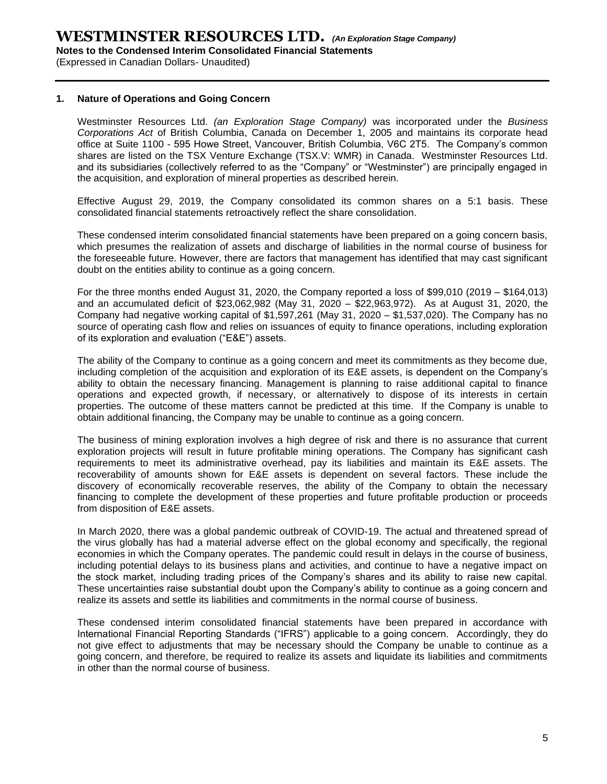(Expressed in Canadian Dollars- Unaudited)

#### **1. Nature of Operations and Going Concern**

Westminster Resources Ltd. *(an Exploration Stage Company)* was incorporated under the *Business Corporations Act* of British Columbia, Canada on December 1, 2005 and maintains its corporate head office at Suite 1100 - 595 Howe Street, Vancouver, British Columbia, V6C 2T5. The Company's common shares are listed on the TSX Venture Exchange (TSX.V: WMR) in Canada. Westminster Resources Ltd. and its subsidiaries (collectively referred to as the "Company" or "Westminster") are principally engaged in the acquisition, and exploration of mineral properties as described herein.

Effective August 29, 2019, the Company consolidated its common shares on a 5:1 basis. These consolidated financial statements retroactively reflect the share consolidation.

These condensed interim consolidated financial statements have been prepared on a going concern basis, which presumes the realization of assets and discharge of liabilities in the normal course of business for the foreseeable future. However, there are factors that management has identified that may cast significant doubt on the entities ability to continue as a going concern.

For the three months ended August 31, 2020, the Company reported a loss of \$99,010 (2019 – \$164,013) and an accumulated deficit of \$23,062,982 (May 31, 2020 – \$22,963,972). As at August 31, 2020, the Company had negative working capital of \$1,597,261 (May 31, 2020 – \$1,537,020). The Company has no source of operating cash flow and relies on issuances of equity to finance operations, including exploration of its exploration and evaluation ("E&E") assets.

The ability of the Company to continue as a going concern and meet its commitments as they become due, including completion of the acquisition and exploration of its E&E assets, is dependent on the Company's ability to obtain the necessary financing. Management is planning to raise additional capital to finance operations and expected growth, if necessary, or alternatively to dispose of its interests in certain properties. The outcome of these matters cannot be predicted at this time. If the Company is unable to obtain additional financing, the Company may be unable to continue as a going concern.

The business of mining exploration involves a high degree of risk and there is no assurance that current exploration projects will result in future profitable mining operations. The Company has significant cash requirements to meet its administrative overhead, pay its liabilities and maintain its E&E assets. The recoverability of amounts shown for E&E assets is dependent on several factors. These include the discovery of economically recoverable reserves, the ability of the Company to obtain the necessary financing to complete the development of these properties and future profitable production or proceeds from disposition of E&E assets.

In March 2020, there was a global pandemic outbreak of COVID-19. The actual and threatened spread of the virus globally has had a material adverse effect on the global economy and specifically, the regional economies in which the Company operates. The pandemic could result in delays in the course of business, including potential delays to its business plans and activities, and continue to have a negative impact on the stock market, including trading prices of the Company's shares and its ability to raise new capital. These uncertainties raise substantial doubt upon the Company's ability to continue as a going concern and realize its assets and settle its liabilities and commitments in the normal course of business.

These condensed interim consolidated financial statements have been prepared in accordance with International Financial Reporting Standards ("IFRS") applicable to a going concern. Accordingly, they do not give effect to adjustments that may be necessary should the Company be unable to continue as a going concern, and therefore, be required to realize its assets and liquidate its liabilities and commitments in other than the normal course of business.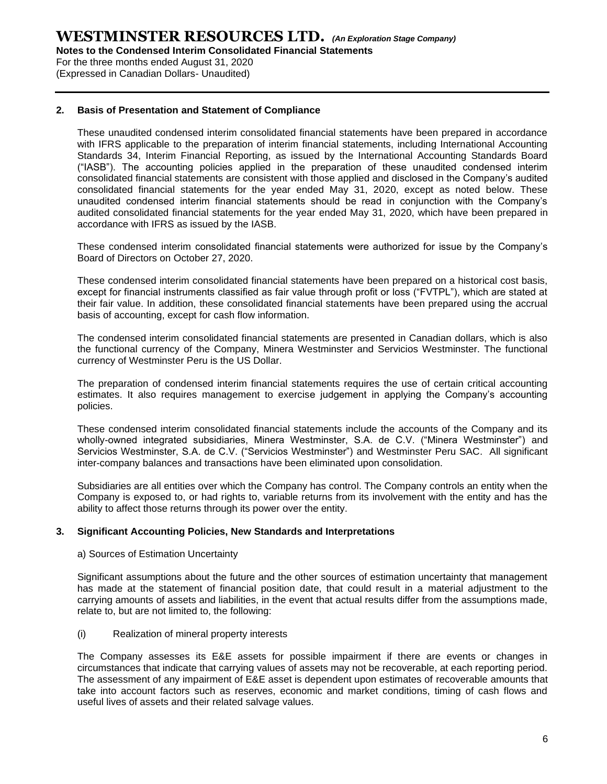**Notes to the Condensed Interim Consolidated Financial Statements**

For the three months ended August 31, 2020

(Expressed in Canadian Dollars- Unaudited)

#### **2. Basis of Presentation and Statement of Compliance**

These unaudited condensed interim consolidated financial statements have been prepared in accordance with IFRS applicable to the preparation of interim financial statements, including International Accounting Standards 34, Interim Financial Reporting, as issued by the International Accounting Standards Board ("IASB"). The accounting policies applied in the preparation of these unaudited condensed interim consolidated financial statements are consistent with those applied and disclosed in the Company's audited consolidated financial statements for the year ended May 31, 2020, except as noted below. These unaudited condensed interim financial statements should be read in conjunction with the Company's audited consolidated financial statements for the year ended May 31, 2020, which have been prepared in accordance with IFRS as issued by the IASB.

These condensed interim consolidated financial statements were authorized for issue by the Company's Board of Directors on October 27, 2020.

These condensed interim consolidated financial statements have been prepared on a historical cost basis, except for financial instruments classified as fair value through profit or loss ("FVTPL"), which are stated at their fair value. In addition, these consolidated financial statements have been prepared using the accrual basis of accounting, except for cash flow information.

The condensed interim consolidated financial statements are presented in Canadian dollars, which is also the functional currency of the Company, Minera Westminster and Servicios Westminster. The functional currency of Westminster Peru is the US Dollar.

The preparation of condensed interim financial statements requires the use of certain critical accounting estimates. It also requires management to exercise judgement in applying the Company's accounting policies.

These condensed interim consolidated financial statements include the accounts of the Company and its wholly-owned integrated subsidiaries, Minera Westminster, S.A. de C.V. ("Minera Westminster") and Servicios Westminster, S.A. de C.V. ("Servicios Westminster") and Westminster Peru SAC. All significant inter-company balances and transactions have been eliminated upon consolidation.

Subsidiaries are all entities over which the Company has control. The Company controls an entity when the Company is exposed to, or had rights to, variable returns from its involvement with the entity and has the ability to affect those returns through its power over the entity.

#### **3. Significant Accounting Policies, New Standards and Interpretations**

#### a) Sources of Estimation Uncertainty

Significant assumptions about the future and the other sources of estimation uncertainty that management has made at the statement of financial position date, that could result in a material adjustment to the carrying amounts of assets and liabilities, in the event that actual results differ from the assumptions made, relate to, but are not limited to, the following:

#### (i) Realization of mineral property interests

The Company assesses its E&E assets for possible impairment if there are events or changes in circumstances that indicate that carrying values of assets may not be recoverable, at each reporting period. The assessment of any impairment of E&E asset is dependent upon estimates of recoverable amounts that take into account factors such as reserves, economic and market conditions, timing of cash flows and useful lives of assets and their related salvage values.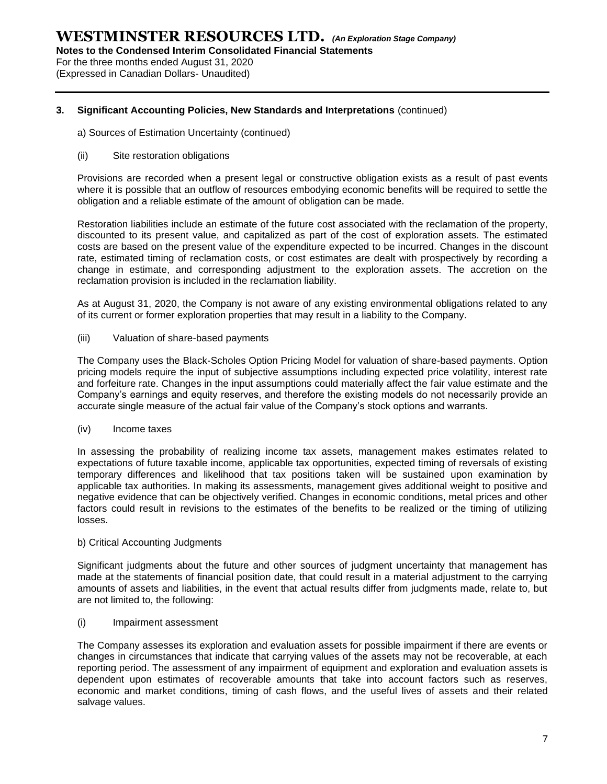**Notes to the Condensed Interim Consolidated Financial Statements**

For the three months ended August 31, 2020

(Expressed in Canadian Dollars- Unaudited)

#### **3. Significant Accounting Policies, New Standards and Interpretations** (continued)

a) Sources of Estimation Uncertainty (continued)

#### (ii) Site restoration obligations

Provisions are recorded when a present legal or constructive obligation exists as a result of past events where it is possible that an outflow of resources embodying economic benefits will be required to settle the obligation and a reliable estimate of the amount of obligation can be made.

Restoration liabilities include an estimate of the future cost associated with the reclamation of the property, discounted to its present value, and capitalized as part of the cost of exploration assets. The estimated costs are based on the present value of the expenditure expected to be incurred. Changes in the discount rate, estimated timing of reclamation costs, or cost estimates are dealt with prospectively by recording a change in estimate, and corresponding adjustment to the exploration assets. The accretion on the reclamation provision is included in the reclamation liability.

As at August 31, 2020, the Company is not aware of any existing environmental obligations related to any of its current or former exploration properties that may result in a liability to the Company.

(iii) Valuation of share-based payments

The Company uses the Black-Scholes Option Pricing Model for valuation of share-based payments. Option pricing models require the input of subjective assumptions including expected price volatility, interest rate and forfeiture rate. Changes in the input assumptions could materially affect the fair value estimate and the Company's earnings and equity reserves, and therefore the existing models do not necessarily provide an accurate single measure of the actual fair value of the Company's stock options and warrants.

(iv) Income taxes

In assessing the probability of realizing income tax assets, management makes estimates related to expectations of future taxable income, applicable tax opportunities, expected timing of reversals of existing temporary differences and likelihood that tax positions taken will be sustained upon examination by applicable tax authorities. In making its assessments, management gives additional weight to positive and negative evidence that can be objectively verified. Changes in economic conditions, metal prices and other factors could result in revisions to the estimates of the benefits to be realized or the timing of utilizing losses.

#### b) Critical Accounting Judgments

Significant judgments about the future and other sources of judgment uncertainty that management has made at the statements of financial position date, that could result in a material adjustment to the carrying amounts of assets and liabilities, in the event that actual results differ from judgments made, relate to, but are not limited to, the following:

#### (i) Impairment assessment

The Company assesses its exploration and evaluation assets for possible impairment if there are events or changes in circumstances that indicate that carrying values of the assets may not be recoverable, at each reporting period. The assessment of any impairment of equipment and exploration and evaluation assets is dependent upon estimates of recoverable amounts that take into account factors such as reserves, economic and market conditions, timing of cash flows, and the useful lives of assets and their related salvage values.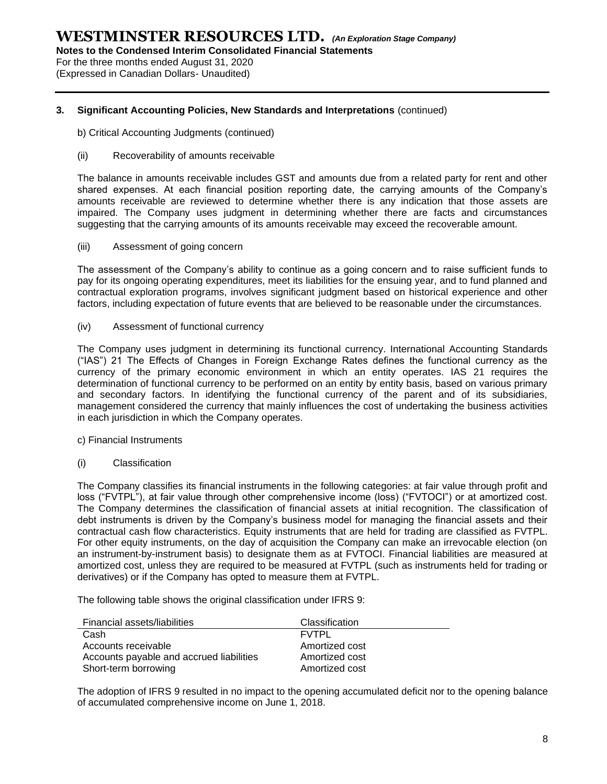**Notes to the Condensed Interim Consolidated Financial Statements**

For the three months ended August 31, 2020

(Expressed in Canadian Dollars- Unaudited)

#### **3. Significant Accounting Policies, New Standards and Interpretations** (continued)

- b) Critical Accounting Judgments (continued)
- (ii) Recoverability of amounts receivable

The balance in amounts receivable includes GST and amounts due from a related party for rent and other shared expenses. At each financial position reporting date, the carrying amounts of the Company's amounts receivable are reviewed to determine whether there is any indication that those assets are impaired. The Company uses judgment in determining whether there are facts and circumstances suggesting that the carrying amounts of its amounts receivable may exceed the recoverable amount.

(iii) Assessment of going concern

The assessment of the Company's ability to continue as a going concern and to raise sufficient funds to pay for its ongoing operating expenditures, meet its liabilities for the ensuing year, and to fund planned and contractual exploration programs, involves significant judgment based on historical experience and other factors, including expectation of future events that are believed to be reasonable under the circumstances.

(iv) Assessment of functional currency

The Company uses judgment in determining its functional currency. International Accounting Standards ("IAS") 21 The Effects of Changes in Foreign Exchange Rates defines the functional currency as the currency of the primary economic environment in which an entity operates. IAS 21 requires the determination of functional currency to be performed on an entity by entity basis, based on various primary and secondary factors. In identifying the functional currency of the parent and of its subsidiaries, management considered the currency that mainly influences the cost of undertaking the business activities in each jurisdiction in which the Company operates.

- c) Financial Instruments
- (i) Classification

The Company classifies its financial instruments in the following categories: at fair value through profit and loss ("FVTPL"), at fair value through other comprehensive income (loss) ("FVTOCI") or at amortized cost. The Company determines the classification of financial assets at initial recognition. The classification of debt instruments is driven by the Company's business model for managing the financial assets and their contractual cash flow characteristics. Equity instruments that are held for trading are classified as FVTPL. For other equity instruments, on the day of acquisition the Company can make an irrevocable election (on an instrument-by-instrument basis) to designate them as at FVTOCI. Financial liabilities are measured at amortized cost, unless they are required to be measured at FVTPL (such as instruments held for trading or derivatives) or if the Company has opted to measure them at FVTPL.

The following table shows the original classification under IFRS 9:

| Financial assets/liabilities             | Classification |
|------------------------------------------|----------------|
| Cash                                     | <b>FVTPL</b>   |
| Accounts receivable                      | Amortized cost |
| Accounts payable and accrued liabilities | Amortized cost |
| Short-term borrowing                     | Amortized cost |

The adoption of IFRS 9 resulted in no impact to the opening accumulated deficit nor to the opening balance of accumulated comprehensive income on June 1, 2018.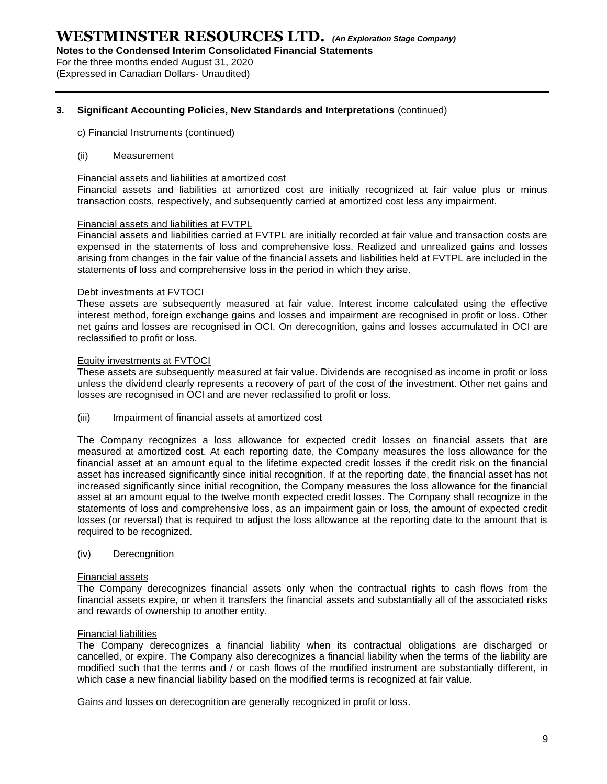**Notes to the Condensed Interim Consolidated Financial Statements**

For the three months ended August 31, 2020 (Expressed in Canadian Dollars- Unaudited)

## **3. Significant Accounting Policies, New Standards and Interpretations** (continued)

- c) Financial Instruments (continued)
- (ii) Measurement

#### Financial assets and liabilities at amortized cost

Financial assets and liabilities at amortized cost are initially recognized at fair value plus or minus transaction costs, respectively, and subsequently carried at amortized cost less any impairment.

#### Financial assets and liabilities at FVTPL

Financial assets and liabilities carried at FVTPL are initially recorded at fair value and transaction costs are expensed in the statements of loss and comprehensive loss. Realized and unrealized gains and losses arising from changes in the fair value of the financial assets and liabilities held at FVTPL are included in the statements of loss and comprehensive loss in the period in which they arise.

#### Debt investments at FVTOCI

These assets are subsequently measured at fair value. Interest income calculated using the effective interest method, foreign exchange gains and losses and impairment are recognised in profit or loss. Other net gains and losses are recognised in OCI. On derecognition, gains and losses accumulated in OCI are reclassified to profit or loss.

#### Equity investments at FVTOCI

These assets are subsequently measured at fair value. Dividends are recognised as income in profit or loss unless the dividend clearly represents a recovery of part of the cost of the investment. Other net gains and losses are recognised in OCI and are never reclassified to profit or loss.

(iii) Impairment of financial assets at amortized cost

The Company recognizes a loss allowance for expected credit losses on financial assets that are measured at amortized cost. At each reporting date, the Company measures the loss allowance for the financial asset at an amount equal to the lifetime expected credit losses if the credit risk on the financial asset has increased significantly since initial recognition. If at the reporting date, the financial asset has not increased significantly since initial recognition, the Company measures the loss allowance for the financial asset at an amount equal to the twelve month expected credit losses. The Company shall recognize in the statements of loss and comprehensive loss, as an impairment gain or loss, the amount of expected credit losses (or reversal) that is required to adjust the loss allowance at the reporting date to the amount that is required to be recognized.

(iv) Derecognition

#### Financial assets

The Company derecognizes financial assets only when the contractual rights to cash flows from the financial assets expire, or when it transfers the financial assets and substantially all of the associated risks and rewards of ownership to another entity.

#### Financial liabilities

The Company derecognizes a financial liability when its contractual obligations are discharged or cancelled, or expire. The Company also derecognizes a financial liability when the terms of the liability are modified such that the terms and / or cash flows of the modified instrument are substantially different, in which case a new financial liability based on the modified terms is recognized at fair value.

Gains and losses on derecognition are generally recognized in profit or loss.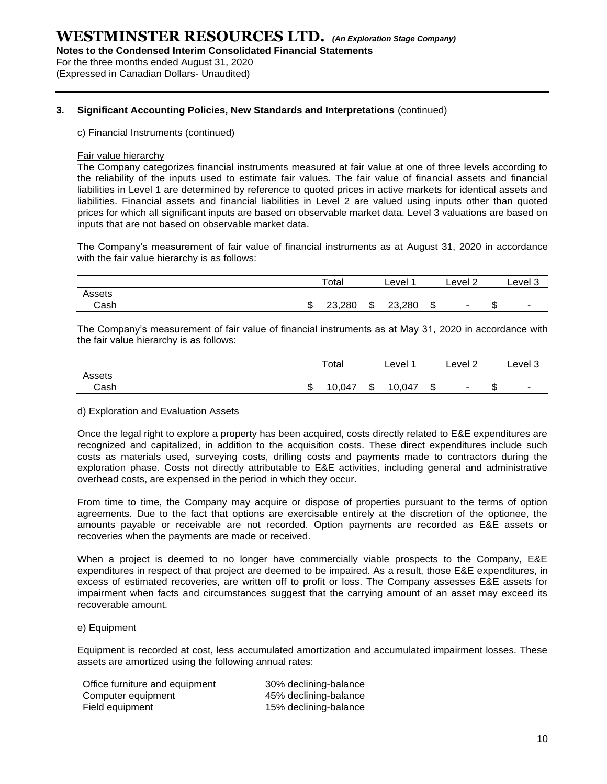**Notes to the Condensed Interim Consolidated Financial Statements**

For the three months ended August 31, 2020 (Expressed in Canadian Dollars- Unaudited)

#### **3. Significant Accounting Policies, New Standards and Interpretations** (continued)

c) Financial Instruments (continued)

#### Fair value hierarchy

The Company categorizes financial instruments measured at fair value at one of three levels according to the reliability of the inputs used to estimate fair values. The fair value of financial assets and financial liabilities in Level 1 are determined by reference to quoted prices in active markets for identical assets and liabilities. Financial assets and financial liabilities in Level 2 are valued using inputs other than quoted prices for which all significant inputs are based on observable market data. Level 3 valuations are based on inputs that are not based on observable market data.

The Company's measurement of fair value of financial instruments as at August 31, 2020 in accordance with the fair value hierarchy is as follows:

|                |   | Total  | Level        | Level 2 |        | Level 3 |
|----------------|---|--------|--------------|---------|--------|---------|
| Assets<br>Cash | ጦ | 23,280 | \$<br>23,280 | \$      | ሖ<br>Œ |         |
|                | w |        |              |         |        |         |

The Company's measurement of fair value of financial instruments as at May 31, 2020 in accordance with the fair value hierarchy is as follows:

|        |        | Total  |        | Level  |         | $\sim$<br>∟evel ′<br>∠   |         | Level 3                  |
|--------|--------|--------|--------|--------|---------|--------------------------|---------|--------------------------|
| Assets |        |        |        |        |         |                          |         |                          |
| Cash   | ጦ<br>w | 10,047 | ጦ<br>Ф | 10,047 | æ<br>۰D | $\overline{\phantom{0}}$ | ጦ<br>۰D | $\overline{\phantom{0}}$ |

#### d) Exploration and Evaluation Assets

Once the legal right to explore a property has been acquired, costs directly related to E&E expenditures are recognized and capitalized, in addition to the acquisition costs. These direct expenditures include such costs as materials used, surveying costs, drilling costs and payments made to contractors during the exploration phase. Costs not directly attributable to E&E activities, including general and administrative overhead costs, are expensed in the period in which they occur.

From time to time, the Company may acquire or dispose of properties pursuant to the terms of option agreements. Due to the fact that options are exercisable entirely at the discretion of the optionee, the amounts payable or receivable are not recorded. Option payments are recorded as E&E assets or recoveries when the payments are made or received.

When a project is deemed to no longer have commercially viable prospects to the Company, E&E expenditures in respect of that project are deemed to be impaired. As a result, those E&E expenditures, in excess of estimated recoveries, are written off to profit or loss. The Company assesses E&E assets for impairment when facts and circumstances suggest that the carrying amount of an asset may exceed its recoverable amount.

#### e) Equipment

Equipment is recorded at cost, less accumulated amortization and accumulated impairment losses. These assets are amortized using the following annual rates:

| Office furniture and equipment | 30% declining-balance |
|--------------------------------|-----------------------|
| Computer equipment             | 45% declining-balance |
| Field equipment                | 15% declining-balance |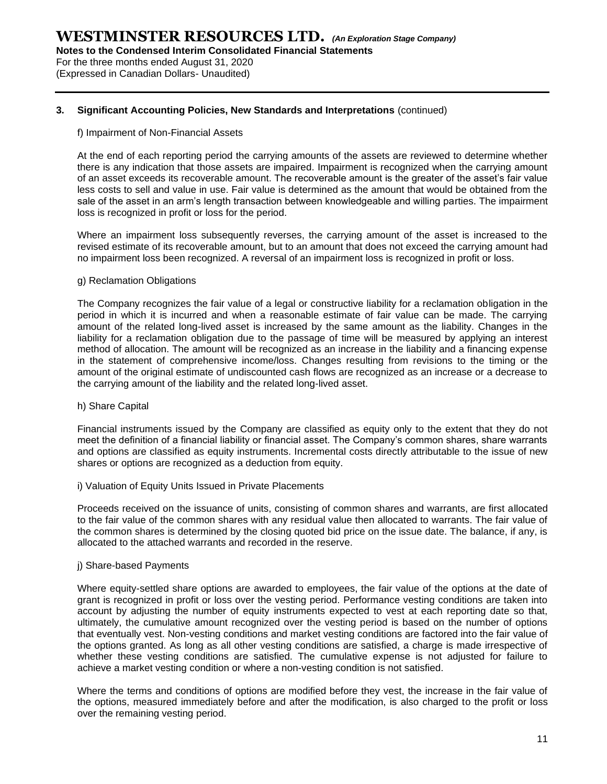**Notes to the Condensed Interim Consolidated Financial Statements**

For the three months ended August 31, 2020 (Expressed in Canadian Dollars- Unaudited)

#### **3. Significant Accounting Policies, New Standards and Interpretations** (continued)

#### f) Impairment of Non-Financial Assets

At the end of each reporting period the carrying amounts of the assets are reviewed to determine whether there is any indication that those assets are impaired. Impairment is recognized when the carrying amount of an asset exceeds its recoverable amount. The recoverable amount is the greater of the asset's fair value less costs to sell and value in use. Fair value is determined as the amount that would be obtained from the sale of the asset in an arm's length transaction between knowledgeable and willing parties. The impairment loss is recognized in profit or loss for the period.

Where an impairment loss subsequently reverses, the carrying amount of the asset is increased to the revised estimate of its recoverable amount, but to an amount that does not exceed the carrying amount had no impairment loss been recognized. A reversal of an impairment loss is recognized in profit or loss.

#### g) Reclamation Obligations

The Company recognizes the fair value of a legal or constructive liability for a reclamation obligation in the period in which it is incurred and when a reasonable estimate of fair value can be made. The carrying amount of the related long-lived asset is increased by the same amount as the liability. Changes in the liability for a reclamation obligation due to the passage of time will be measured by applying an interest method of allocation. The amount will be recognized as an increase in the liability and a financing expense in the statement of comprehensive income/loss. Changes resulting from revisions to the timing or the amount of the original estimate of undiscounted cash flows are recognized as an increase or a decrease to the carrying amount of the liability and the related long-lived asset.

#### h) Share Capital

Financial instruments issued by the Company are classified as equity only to the extent that they do not meet the definition of a financial liability or financial asset. The Company's common shares, share warrants and options are classified as equity instruments. Incremental costs directly attributable to the issue of new shares or options are recognized as a deduction from equity.

i) Valuation of Equity Units Issued in Private Placements

Proceeds received on the issuance of units, consisting of common shares and warrants, are first allocated to the fair value of the common shares with any residual value then allocated to warrants. The fair value of the common shares is determined by the closing quoted bid price on the issue date. The balance, if any, is allocated to the attached warrants and recorded in the reserve.

#### j) Share-based Payments

Where equity-settled share options are awarded to employees, the fair value of the options at the date of grant is recognized in profit or loss over the vesting period. Performance vesting conditions are taken into account by adjusting the number of equity instruments expected to vest at each reporting date so that, ultimately, the cumulative amount recognized over the vesting period is based on the number of options that eventually vest. Non-vesting conditions and market vesting conditions are factored into the fair value of the options granted. As long as all other vesting conditions are satisfied, a charge is made irrespective of whether these vesting conditions are satisfied. The cumulative expense is not adjusted for failure to achieve a market vesting condition or where a non-vesting condition is not satisfied.

Where the terms and conditions of options are modified before they vest, the increase in the fair value of the options, measured immediately before and after the modification, is also charged to the profit or loss over the remaining vesting period.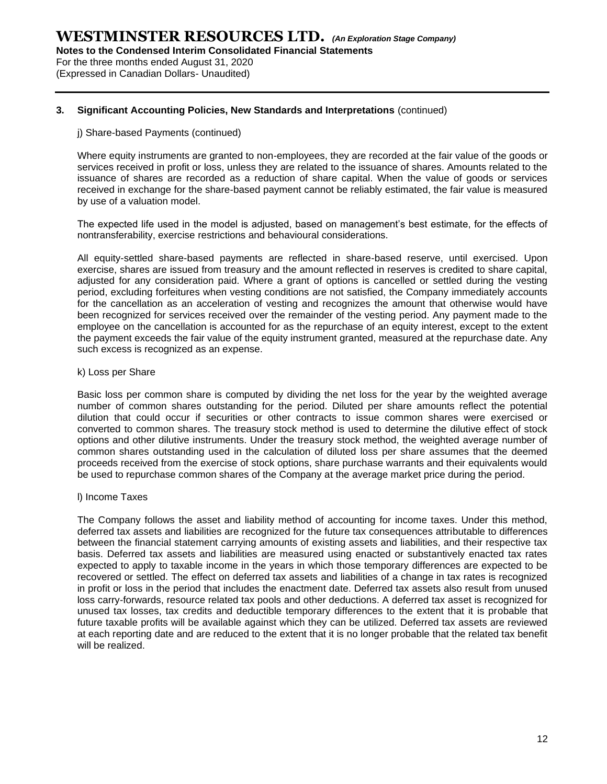**Notes to the Condensed Interim Consolidated Financial Statements**

For the three months ended August 31, 2020 (Expressed in Canadian Dollars- Unaudited)

#### **3. Significant Accounting Policies, New Standards and Interpretations** (continued)

#### j) Share-based Payments (continued)

Where equity instruments are granted to non-employees, they are recorded at the fair value of the goods or services received in profit or loss, unless they are related to the issuance of shares. Amounts related to the issuance of shares are recorded as a reduction of share capital. When the value of goods or services received in exchange for the share-based payment cannot be reliably estimated, the fair value is measured by use of a valuation model.

The expected life used in the model is adjusted, based on management's best estimate, for the effects of nontransferability, exercise restrictions and behavioural considerations.

All equity-settled share-based payments are reflected in share-based reserve, until exercised. Upon exercise, shares are issued from treasury and the amount reflected in reserves is credited to share capital, adjusted for any consideration paid. Where a grant of options is cancelled or settled during the vesting period, excluding forfeitures when vesting conditions are not satisfied, the Company immediately accounts for the cancellation as an acceleration of vesting and recognizes the amount that otherwise would have been recognized for services received over the remainder of the vesting period. Any payment made to the employee on the cancellation is accounted for as the repurchase of an equity interest, except to the extent the payment exceeds the fair value of the equity instrument granted, measured at the repurchase date. Any such excess is recognized as an expense.

#### k) Loss per Share

Basic loss per common share is computed by dividing the net loss for the year by the weighted average number of common shares outstanding for the period. Diluted per share amounts reflect the potential dilution that could occur if securities or other contracts to issue common shares were exercised or converted to common shares. The treasury stock method is used to determine the dilutive effect of stock options and other dilutive instruments. Under the treasury stock method, the weighted average number of common shares outstanding used in the calculation of diluted loss per share assumes that the deemed proceeds received from the exercise of stock options, share purchase warrants and their equivalents would be used to repurchase common shares of the Company at the average market price during the period.

#### l) Income Taxes

The Company follows the asset and liability method of accounting for income taxes. Under this method, deferred tax assets and liabilities are recognized for the future tax consequences attributable to differences between the financial statement carrying amounts of existing assets and liabilities, and their respective tax basis. Deferred tax assets and liabilities are measured using enacted or substantively enacted tax rates expected to apply to taxable income in the years in which those temporary differences are expected to be recovered or settled. The effect on deferred tax assets and liabilities of a change in tax rates is recognized in profit or loss in the period that includes the enactment date. Deferred tax assets also result from unused loss carry-forwards, resource related tax pools and other deductions. A deferred tax asset is recognized for unused tax losses, tax credits and deductible temporary differences to the extent that it is probable that future taxable profits will be available against which they can be utilized. Deferred tax assets are reviewed at each reporting date and are reduced to the extent that it is no longer probable that the related tax benefit will be realized.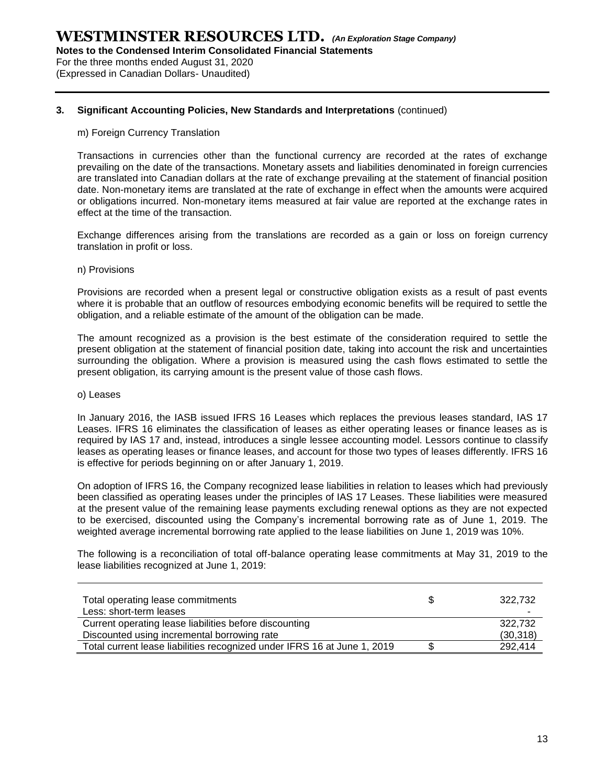**Notes to the Condensed Interim Consolidated Financial Statements**

For the three months ended August 31, 2020 (Expressed in Canadian Dollars- Unaudited)

#### **3. Significant Accounting Policies, New Standards and Interpretations** (continued)

#### m) Foreign Currency Translation

Transactions in currencies other than the functional currency are recorded at the rates of exchange prevailing on the date of the transactions. Monetary assets and liabilities denominated in foreign currencies are translated into Canadian dollars at the rate of exchange prevailing at the statement of financial position date. Non-monetary items are translated at the rate of exchange in effect when the amounts were acquired or obligations incurred. Non-monetary items measured at fair value are reported at the exchange rates in effect at the time of the transaction.

Exchange differences arising from the translations are recorded as a gain or loss on foreign currency translation in profit or loss.

#### n) Provisions

Provisions are recorded when a present legal or constructive obligation exists as a result of past events where it is probable that an outflow of resources embodying economic benefits will be required to settle the obligation, and a reliable estimate of the amount of the obligation can be made.

The amount recognized as a provision is the best estimate of the consideration required to settle the present obligation at the statement of financial position date, taking into account the risk and uncertainties surrounding the obligation. Where a provision is measured using the cash flows estimated to settle the present obligation, its carrying amount is the present value of those cash flows.

#### o) Leases

In January 2016, the IASB issued IFRS 16 Leases which replaces the previous leases standard, IAS 17 Leases. IFRS 16 eliminates the classification of leases as either operating leases or finance leases as is required by IAS 17 and, instead, introduces a single lessee accounting model. Lessors continue to classify leases as operating leases or finance leases, and account for those two types of leases differently. IFRS 16 is effective for periods beginning on or after January 1, 2019.

On adoption of IFRS 16, the Company recognized lease liabilities in relation to leases which had previously been classified as operating leases under the principles of IAS 17 Leases. These liabilities were measured at the present value of the remaining lease payments excluding renewal options as they are not expected to be exercised, discounted using the Company's incremental borrowing rate as of June 1, 2019. The weighted average incremental borrowing rate applied to the lease liabilities on June 1, 2019 was 10%.

The following is a reconciliation of total off-balance operating lease commitments at May 31, 2019 to the lease liabilities recognized at June 1, 2019:

| Total operating lease commitments<br>Less: short-term leases             | 322.732<br>- |
|--------------------------------------------------------------------------|--------------|
| Current operating lease liabilities before discounting                   | 322.732      |
| Discounted using incremental borrowing rate                              | (30,318)     |
| Total current lease liabilities recognized under IFRS 16 at June 1, 2019 | 292.414      |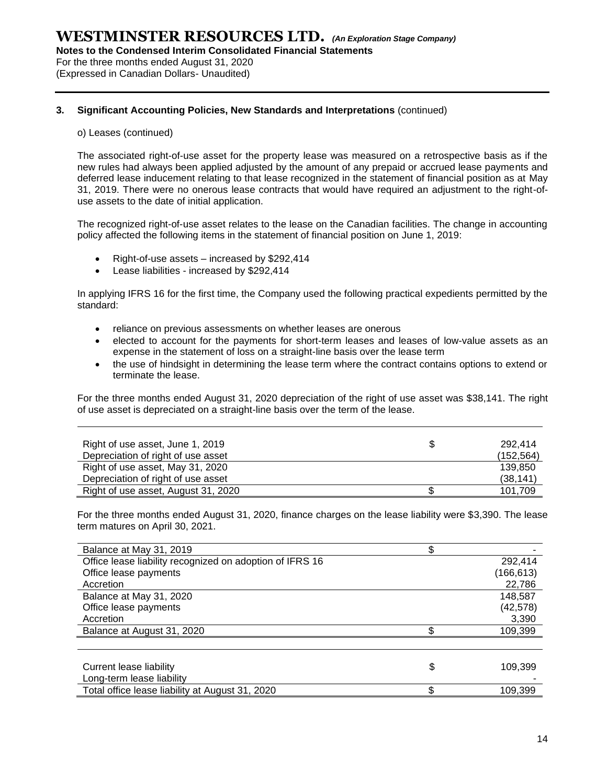**Notes to the Condensed Interim Consolidated Financial Statements**

For the three months ended August 31, 2020

(Expressed in Canadian Dollars- Unaudited)

#### **3. Significant Accounting Policies, New Standards and Interpretations** (continued)

#### o) Leases (continued)

The associated right-of-use asset for the property lease was measured on a retrospective basis as if the new rules had always been applied adjusted by the amount of any prepaid or accrued lease payments and deferred lease inducement relating to that lease recognized in the statement of financial position as at May 31, 2019. There were no onerous lease contracts that would have required an adjustment to the right-ofuse assets to the date of initial application.

The recognized right-of-use asset relates to the lease on the Canadian facilities. The change in accounting policy affected the following items in the statement of financial position on June 1, 2019:

- Right-of-use assets increased by \$292,414
- Lease liabilities increased by \$292,414

In applying IFRS 16 for the first time, the Company used the following practical expedients permitted by the standard:

- reliance on previous assessments on whether leases are onerous
- elected to account for the payments for short-term leases and leases of low-value assets as an expense in the statement of loss on a straight-line basis over the lease term
- the use of hindsight in determining the lease term where the contract contains options to extend or terminate the lease.

For the three months ended August 31, 2020 depreciation of the right of use asset was \$38,141. The right of use asset is depreciated on a straight-line basis over the term of the lease.

| Right of use asset, June 1, 2019    | 292.414    |
|-------------------------------------|------------|
| Depreciation of right of use asset  | (152, 564) |
| Right of use asset, May 31, 2020    | 139.850    |
| Depreciation of right of use asset  | (38, 141)  |
| Right of use asset, August 31, 2020 | 101,709    |

For the three months ended August 31, 2020, finance charges on the lease liability were \$3,390. The lease term matures on April 30, 2021.

| Balance at May 31, 2019                                  |               |
|----------------------------------------------------------|---------------|
| Office lease liability recognized on adoption of IFRS 16 | 292.414       |
| Office lease payments                                    | (166,613)     |
| Accretion                                                | 22,786        |
| Balance at May 31, 2020                                  | 148,587       |
| Office lease payments                                    | (42,578)      |
| Accretion                                                | 3,390         |
| Balance at August 31, 2020                               | 109,399       |
|                                                          |               |
|                                                          |               |
| Current lease liability                                  | \$<br>109,399 |
| Long-term lease liability                                |               |
| Total office lease liability at August 31, 2020          | 109.399       |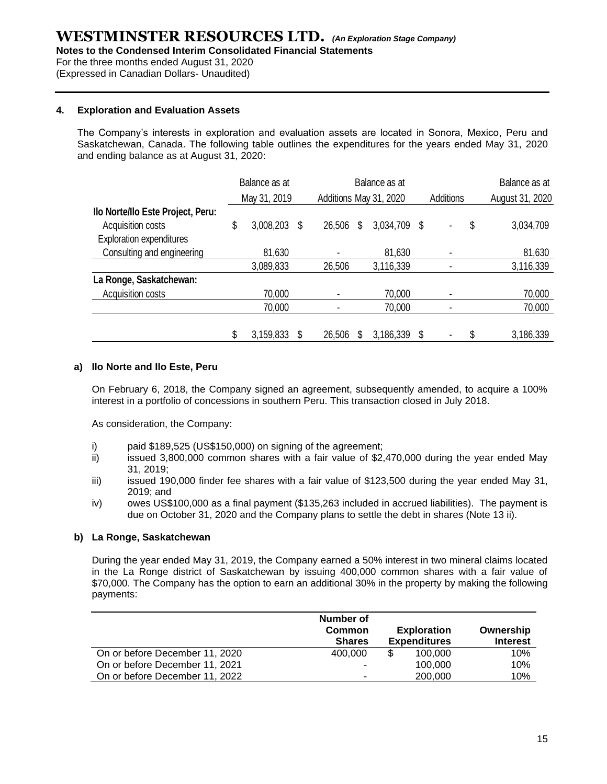**Notes to the Condensed Interim Consolidated Financial Statements**

For the three months ended August 31, 2020

(Expressed in Canadian Dollars- Unaudited)

#### **4. Exploration and Evaluation Assets**

The Company's interests in exploration and evaluation assets are located in Sonora, Mexico, Peru and Saskatchewan, Canada. The following table outlines the expenditures for the years ended May 31, 2020 and ending balance as at August 31, 2020:

|                                   |    | Balance as at |   | Balance as at |   |                        |    |                  | Balance as at |                 |  |
|-----------------------------------|----|---------------|---|---------------|---|------------------------|----|------------------|---------------|-----------------|--|
|                                   |    | May 31, 2019  |   |               |   | Additions May 31, 2020 |    | <b>Additions</b> |               | August 31, 2020 |  |
| Ilo Norte/Ilo Este Project, Peru: |    |               |   |               |   |                        |    |                  |               |                 |  |
| Acquisition costs                 | \$ | 3,008,203     | S | 26,506        | S | 3,034,709              | S  |                  | \$            | 3,034,709       |  |
| <b>Exploration expenditures</b>   |    |               |   |               |   |                        |    |                  |               |                 |  |
| Consulting and engineering        |    | 81,630        |   |               |   | 81,630                 |    |                  |               | 81,630          |  |
|                                   |    | 3,089,833     |   | 26,506        |   | 3,116,339              |    |                  |               | 3,116,339       |  |
| La Ronge, Saskatchewan:           |    |               |   |               |   |                        |    |                  |               |                 |  |
| Acquisition costs                 |    | 70,000        |   |               |   | 70,000                 |    |                  |               | 70,000          |  |
|                                   |    | 70,000        |   |               |   | 70,000                 |    |                  |               | 70,000          |  |
|                                   |    |               |   |               |   |                        |    |                  |               |                 |  |
|                                   | S  | 3,159,833     |   | 26,506        |   | 3,186,339              | \$ |                  |               | 3,186,339       |  |

#### **a) Ilo Norte and Ilo Este, Peru**

On February 6, 2018, the Company signed an agreement, subsequently amended, to acquire a 100% interest in a portfolio of concessions in southern Peru. This transaction closed in July 2018.

As consideration, the Company:

- i) paid \$189,525 (US\$150,000) on signing of the agreement;
- ii) issued 3,800,000 common shares with a fair value of \$2,470,000 during the year ended May 31, 2019;
- $\frac{1}{10}$  issued 190,000 finder fee shares with a fair value of \$123,500 during the year ended May 31, 2019; and
- iv) owes US\$100,000 as a final payment (\$135,263 included in accrued liabilities). The payment is due on October 31, 2020 and the Company plans to settle the debt in shares (Note 13 ii).

#### **b) La Ronge, Saskatchewan**

During the year ended May 31, 2019, the Company earned a 50% interest in two mineral claims located in the La Ronge district of Saskatchewan by issuing 400,000 common shares with a fair value of \$70,000. The Company has the option to earn an additional 30% in the property by making the following payments:

|                                | Number of<br><b>Common</b><br><b>Shares</b> | <b>Exploration</b><br><b>Expenditures</b> | Ownership<br><b>Interest</b> |
|--------------------------------|---------------------------------------------|-------------------------------------------|------------------------------|
| On or before December 11, 2020 | 400,000                                     | \$<br>100.000                             | 10%                          |
| On or before December 11, 2021 |                                             | 100,000                                   | 10%                          |
| On or before December 11, 2022 | -                                           | 200,000                                   | 10%                          |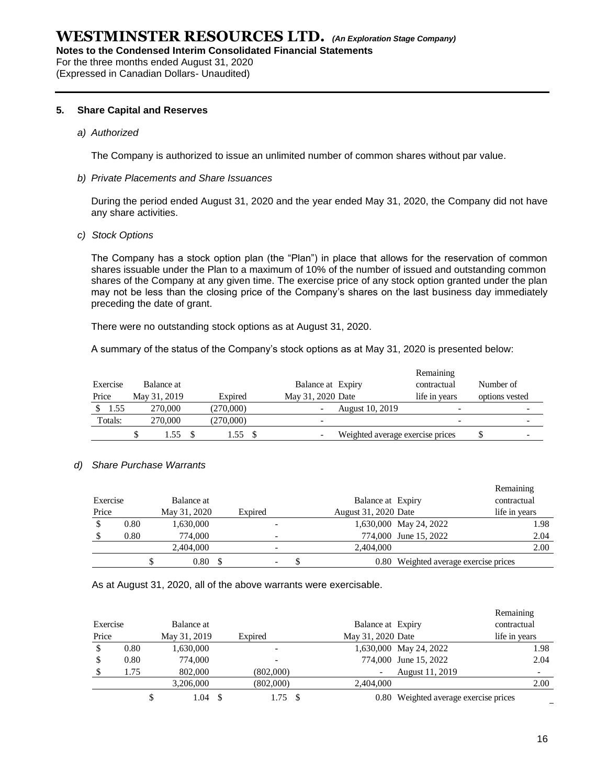**Notes to the Condensed Interim Consolidated Financial Statements**

For the three months ended August 31, 2020

(Expressed in Canadian Dollars- Unaudited)

#### **5. Share Capital and Reserves**

*a) Authorized* 

The Company is authorized to issue an unlimited number of common shares without par value.

#### *b) Private Placements and Share Issuances*

During the period ended August 31, 2020 and the year ended May 31, 2020, the Company did not have any share activities.

*c) Stock Options*

The Company has a stock option plan (the "Plan") in place that allows for the reservation of common shares issuable under the Plan to a maximum of 10% of the number of issued and outstanding common shares of the Company at any given time. The exercise price of any stock option granted under the plan may not be less than the closing price of the Company's shares on the last business day immediately preceding the date of grant.

There were no outstanding stock options as at August 31, 2020.

A summary of the status of the Company's stock options as at May 31, 2020 is presented below:

|          |              |           |                          |                                  | Remaining     |                |   |
|----------|--------------|-----------|--------------------------|----------------------------------|---------------|----------------|---|
| Exercise | Balance at   |           | Balance at Expiry        |                                  | contractual   | Number of      |   |
| Price    | May 31, 2019 | Expired   | May 31, 2020 Date        |                                  | life in vears | options vested |   |
| 1.55     | 270,000      | (270.000) | -                        | August 10, 2019                  | -             |                | - |
| Totals:  | 270,000      | (270,000) | $\overline{\phantom{a}}$ |                                  | -             |                | - |
|          | 1.55         | 1.55      | -                        | Weighted average exercise prices |               |                |   |

#### *d) Share Purchase Warrants*

|          |      |              |                          |  |                      |                                       | Remaining     |
|----------|------|--------------|--------------------------|--|----------------------|---------------------------------------|---------------|
| Exercise |      | Balance at   |                          |  | Balance at Expiry    |                                       | contractual   |
| Price    |      | May 31, 2020 | Expired                  |  | August 31, 2020 Date |                                       | life in years |
|          | 0.80 | 1,630,000    |                          |  |                      | 1,630,000 May 24, 2022                | 1.98          |
|          | 0.80 | 774,000      |                          |  |                      | 774,000 June 15, 2022                 | 2.04          |
|          |      | 2,404,000    |                          |  | 2,404,000            |                                       | 2.00          |
|          |      | 0.80         | $\overline{\phantom{a}}$ |  |                      | 0.80 Weighted average exercise prices |               |

As at August 31, 2020, all of the above warrants were exercisable.

|          |      |              |           |    |                   |                                       | Remaining     |
|----------|------|--------------|-----------|----|-------------------|---------------------------------------|---------------|
| Exercise |      | Balance at   |           |    | Balance at Expiry |                                       | contractual   |
| Price    |      | May 31, 2019 | Expired   |    | May 31, 2020 Date |                                       | life in years |
| S        | 0.80 | 1,630,000    |           |    |                   | 1,630,000 May 24, 2022                | 1.98          |
|          | 0.80 | 774,000      |           |    |                   | 774,000 June 15, 2022                 | 2.04          |
|          | 1.75 | 802,000      | (802,000) |    |                   | August 11, 2019                       |               |
|          |      | 3,206,000    | (802,000) |    | 2.404.000         |                                       | 2.00          |
|          |      | 1.04         | 1.75      | -S |                   | 0.80 Weighted average exercise prices |               |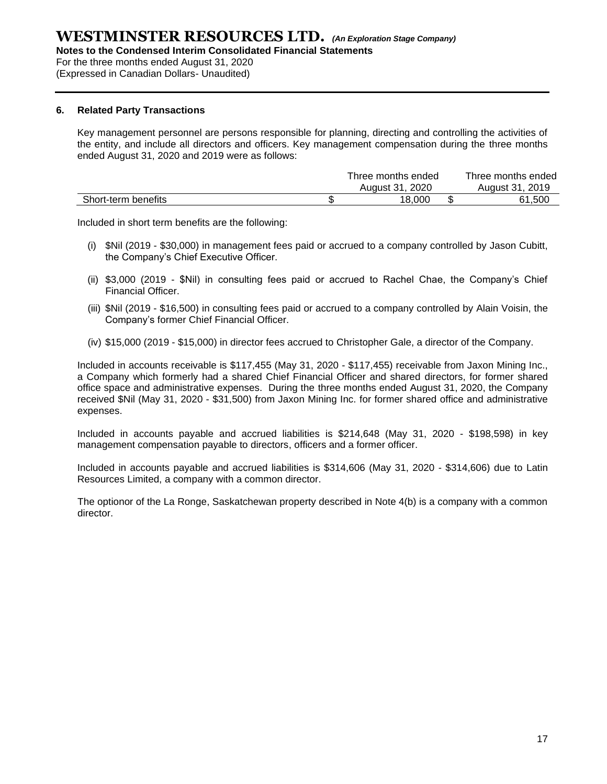**Notes to the Condensed Interim Consolidated Financial Statements**

For the three months ended August 31, 2020

(Expressed in Canadian Dollars- Unaudited)

#### **6. Related Party Transactions**

Key management personnel are persons responsible for planning, directing and controlling the activities of the entity, and include all directors and officers. Key management compensation during the three months ended August 31, 2020 and 2019 were as follows:

|                     | Three months ended | Three months ended |
|---------------------|--------------------|--------------------|
|                     | August 31, 2020    | August 31, 2019    |
| Short-term benefits | 18.000             | 61.500             |

Included in short term benefits are the following:

- (i) \$Nil (2019 \$30,000) in management fees paid or accrued to a company controlled by Jason Cubitt, the Company's Chief Executive Officer.
- (ii) \$3,000 (2019 \$Nil) in consulting fees paid or accrued to Rachel Chae, the Company's Chief Financial Officer.
- (iii) \$Nil (2019 \$16,500) in consulting fees paid or accrued to a company controlled by Alain Voisin, the Company's former Chief Financial Officer.
- (iv) \$15,000 (2019 \$15,000) in director fees accrued to Christopher Gale, a director of the Company.

Included in accounts receivable is \$117,455 (May 31, 2020 - \$117,455) receivable from Jaxon Mining Inc., a Company which formerly had a shared Chief Financial Officer and shared directors, for former shared office space and administrative expenses. During the three months ended August 31, 2020, the Company received \$Nil (May 31, 2020 - \$31,500) from Jaxon Mining Inc. for former shared office and administrative expenses.

Included in accounts payable and accrued liabilities is \$214,648 (May 31, 2020 - \$198,598) in key management compensation payable to directors, officers and a former officer.

Included in accounts payable and accrued liabilities is \$314,606 (May 31, 2020 - \$314,606) due to Latin Resources Limited, a company with a common director.

The optionor of the La Ronge, Saskatchewan property described in Note 4(b) is a company with a common director.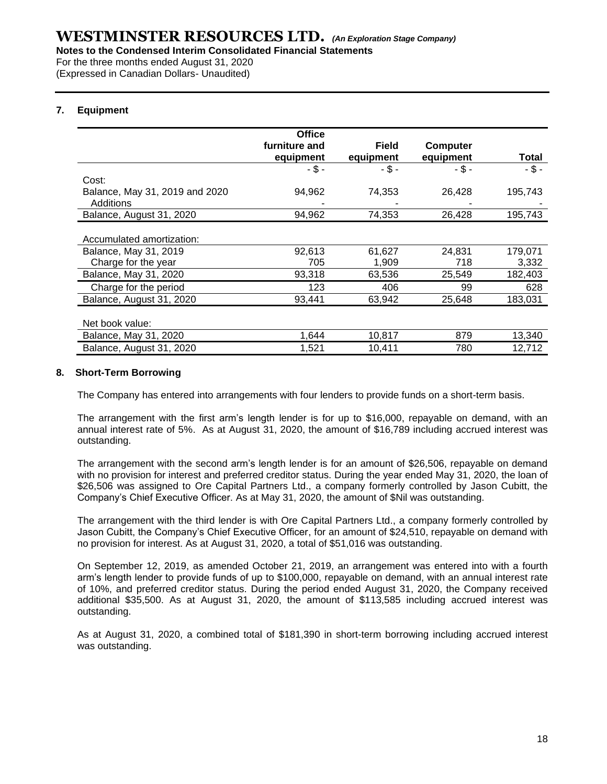For the three months ended August 31, 2020

(Expressed in Canadian Dollars- Unaudited)

#### **7. Equipment**

|                                | <b>Office</b> |              |                 |          |
|--------------------------------|---------------|--------------|-----------------|----------|
|                                | furniture and | <b>Field</b> | <b>Computer</b> |          |
|                                | equipment     | equipment    | equipment       | Total    |
|                                | $-$ \$ -      | - \$ -       | $-$ \$ -        | $-$ \$ - |
| Cost:                          |               |              |                 |          |
| Balance, May 31, 2019 and 2020 | 94,962        | 74,353       | 26,428          | 195,743  |
| Additions                      |               |              |                 |          |
| Balance, August 31, 2020       | 94,962        | 74,353       | 26,428          | 195,743  |
|                                |               |              |                 |          |
| Accumulated amortization:      |               |              |                 |          |
| Balance, May 31, 2019          | 92,613        | 61,627       | 24,831          | 179,071  |
| Charge for the year            | 705           | 1,909        | 718             | 3,332    |
| Balance, May 31, 2020          | 93,318        | 63,536       | 25,549          | 182,403  |
| Charge for the period          | 123           | 406          | 99              | 628      |
| Balance, August 31, 2020       | 93,441        | 63,942       | 25,648          | 183,031  |
|                                |               |              |                 |          |
| Net book value:                |               |              |                 |          |
| Balance, May 31, 2020          | 1,644         | 10,817       | 879             | 13,340   |
| Balance, August 31, 2020       | 1,521         | 10,411       | 780             | 12,712   |

#### **8. Short-Term Borrowing**

The Company has entered into arrangements with four lenders to provide funds on a short-term basis.

The arrangement with the first arm's length lender is for up to \$16,000, repayable on demand, with an annual interest rate of 5%. As at August 31, 2020, the amount of \$16,789 including accrued interest was outstanding.

The arrangement with the second arm's length lender is for an amount of \$26,506, repayable on demand with no provision for interest and preferred creditor status. During the year ended May 31, 2020, the loan of \$26,506 was assigned to Ore Capital Partners Ltd., a company formerly controlled by Jason Cubitt, the Company's Chief Executive Officer. As at May 31, 2020, the amount of \$Nil was outstanding.

The arrangement with the third lender is with Ore Capital Partners Ltd., a company formerly controlled by Jason Cubitt, the Company's Chief Executive Officer, for an amount of \$24,510, repayable on demand with no provision for interest. As at August 31, 2020, a total of \$51,016 was outstanding.

On September 12, 2019, as amended October 21, 2019, an arrangement was entered into with a fourth arm's length lender to provide funds of up to \$100,000, repayable on demand, with an annual interest rate of 10%, and preferred creditor status. During the period ended August 31, 2020, the Company received additional \$35,500. As at August 31, 2020, the amount of \$113,585 including accrued interest was outstanding.

As at August 31, 2020, a combined total of \$181,390 in short-term borrowing including accrued interest was outstanding.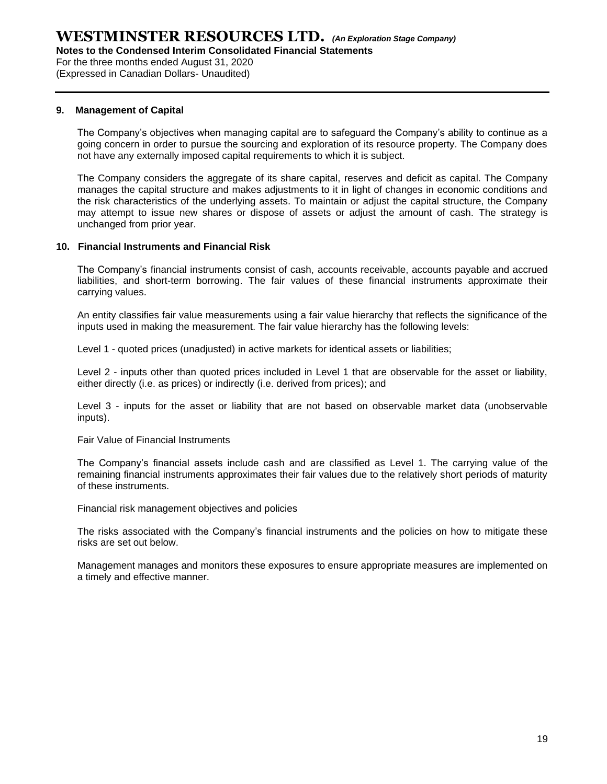For the three months ended August 31, 2020

(Expressed in Canadian Dollars- Unaudited)

#### **9. Management of Capital**

The Company's objectives when managing capital are to safeguard the Company's ability to continue as a going concern in order to pursue the sourcing and exploration of its resource property. The Company does not have any externally imposed capital requirements to which it is subject.

The Company considers the aggregate of its share capital, reserves and deficit as capital. The Company manages the capital structure and makes adjustments to it in light of changes in economic conditions and the risk characteristics of the underlying assets. To maintain or adjust the capital structure, the Company may attempt to issue new shares or dispose of assets or adjust the amount of cash. The strategy is unchanged from prior year.

#### **10. Financial Instruments and Financial Risk**

The Company's financial instruments consist of cash, accounts receivable, accounts payable and accrued liabilities, and short-term borrowing. The fair values of these financial instruments approximate their carrying values.

An entity classifies fair value measurements using a fair value hierarchy that reflects the significance of the inputs used in making the measurement. The fair value hierarchy has the following levels:

Level 1 - quoted prices (unadjusted) in active markets for identical assets or liabilities;

Level 2 - inputs other than quoted prices included in Level 1 that are observable for the asset or liability, either directly (i.e. as prices) or indirectly (i.e. derived from prices); and

Level 3 - inputs for the asset or liability that are not based on observable market data (unobservable inputs).

Fair Value of Financial Instruments

The Company's financial assets include cash and are classified as Level 1. The carrying value of the remaining financial instruments approximates their fair values due to the relatively short periods of maturity of these instruments.

Financial risk management objectives and policies

The risks associated with the Company's financial instruments and the policies on how to mitigate these risks are set out below.

Management manages and monitors these exposures to ensure appropriate measures are implemented on a timely and effective manner.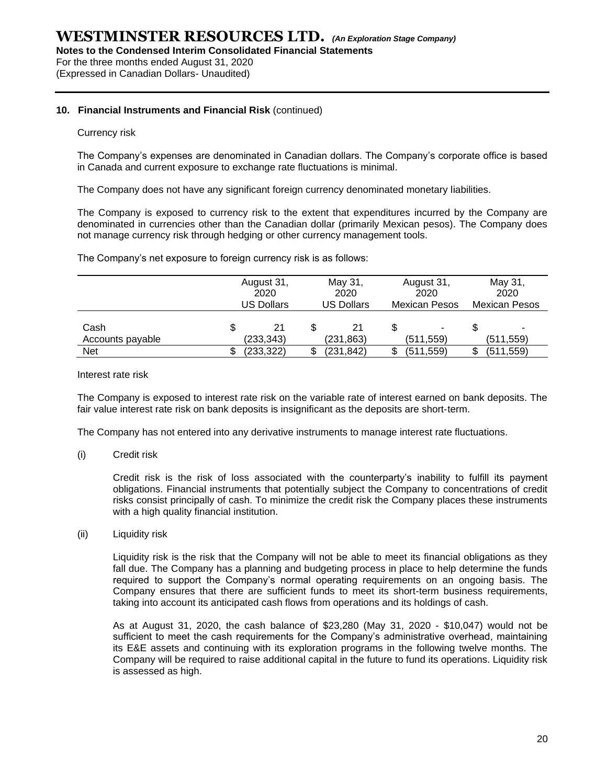**Notes to the Condensed Interim Consolidated Financial Statements**

For the three months ended August 31, 2020

(Expressed in Canadian Dollars- Unaudited)

#### **10. Financial Instruments and Financial Risk** (continued)

#### Currency risk

The Company's expenses are denominated in Canadian dollars. The Company's corporate office is based in Canada and current exposure to exchange rate fluctuations is minimal.

The Company does not have any significant foreign currency denominated monetary liabilities.

The Company is exposed to currency risk to the extent that expenditures incurred by the Company are denominated in currencies other than the Canadian dollar (primarily Mexican pesos). The Company does not manage currency risk through hedging or other currency management tools.

The Company's net exposure to foreign currency risk is as follows:

|                          | August 31,<br>2020<br><b>US Dollars</b> |                 | May 31,<br>2020<br><b>US Dollars</b> |                 | August 31,<br>2020<br><b>Mexican Pesos</b> |            |  | May 31,<br>2020<br><b>Mexican Pesos</b> |  |
|--------------------------|-----------------------------------------|-----------------|--------------------------------------|-----------------|--------------------------------------------|------------|--|-----------------------------------------|--|
| Cash<br>Accounts payable | \$                                      | 21<br>(233,343) |                                      | 21<br>(231,863) |                                            | (511, 559) |  | (511,559)                               |  |
| Net                      |                                         | (233,322)       |                                      | (231,842)       | S                                          | (511,559)  |  | (511,559)                               |  |

#### Interest rate risk

The Company is exposed to interest rate risk on the variable rate of interest earned on bank deposits. The fair value interest rate risk on bank deposits is insignificant as the deposits are short-term.

The Company has not entered into any derivative instruments to manage interest rate fluctuations.

#### (i) Credit risk

Credit risk is the risk of loss associated with the counterparty's inability to fulfill its payment obligations. Financial instruments that potentially subject the Company to concentrations of credit risks consist principally of cash. To minimize the credit risk the Company places these instruments with a high quality financial institution.

#### (ii) Liquidity risk

Liquidity risk is the risk that the Company will not be able to meet its financial obligations as they fall due. The Company has a planning and budgeting process in place to help determine the funds required to support the Company's normal operating requirements on an ongoing basis. The Company ensures that there are sufficient funds to meet its short-term business requirements, taking into account its anticipated cash flows from operations and its holdings of cash.

As at August 31, 2020, the cash balance of \$23,280 (May 31, 2020 - \$10,047) would not be sufficient to meet the cash requirements for the Company's administrative overhead, maintaining its E&E assets and continuing with its exploration programs in the following twelve months. The Company will be required to raise additional capital in the future to fund its operations. Liquidity risk is assessed as high.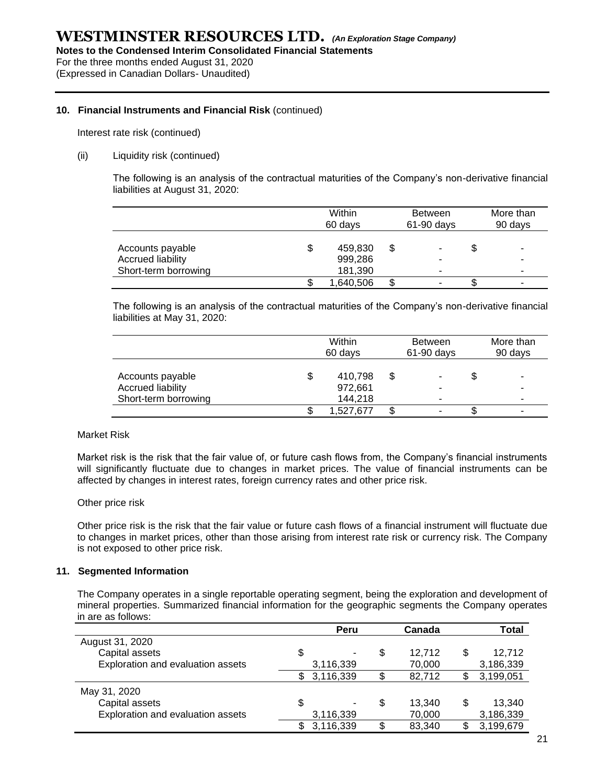For the three months ended August 31, 2020

(Expressed in Canadian Dollars- Unaudited)

#### **10. Financial Instruments and Financial Risk** (continued)

Interest rate risk (continued)

#### (ii) Liquidity risk (continued)

The following is an analysis of the contractual maturities of the Company's non-derivative financial liabilities at August 31, 2020:

|                                                               | Within<br>60 days                   |    | <b>Between</b><br>$61-90$ days | More than<br>90 days |  |
|---------------------------------------------------------------|-------------------------------------|----|--------------------------------|----------------------|--|
| Accounts payable<br>Accrued liability<br>Short-term borrowing | \$<br>459,830<br>999,286<br>181,390 | \$ | ٠<br>-<br>۰                    | \$<br>۰<br>۰         |  |
|                                                               | 1,640,506                           | S  | ٠                              | ۰                    |  |

The following is an analysis of the contractual maturities of the Company's non-derivative financial liabilities at May 31, 2020:

|                                                                      | Within<br>60 days                   |    | <b>Between</b><br>$61-90$ days |    | More than<br>90 days |
|----------------------------------------------------------------------|-------------------------------------|----|--------------------------------|----|----------------------|
| Accounts payable<br><b>Accrued liability</b><br>Short-term borrowing | \$<br>410,798<br>972,661<br>144,218 | \$ | ۰<br>-                         | \$ | ۰<br>۰<br>۰          |
|                                                                      | 1,527,677                           | S  |                                | æ  | ۰                    |

#### Market Risk

Market risk is the risk that the fair value of, or future cash flows from, the Company's financial instruments will significantly fluctuate due to changes in market prices. The value of financial instruments can be affected by changes in interest rates, foreign currency rates and other price risk.

#### Other price risk

Other price risk is the risk that the fair value or future cash flows of a financial instrument will fluctuate due to changes in market prices, other than those arising from interest rate risk or currency risk. The Company is not exposed to other price risk.

#### **11. Segmented Information**

The Company operates in a single reportable operating segment, being the exploration and development of mineral properties. Summarized financial information for the geographic segments the Company operates in are as follows:

|                                   |   | Peru      |    | Canada |    | Total     |
|-----------------------------------|---|-----------|----|--------|----|-----------|
| August 31, 2020                   |   |           |    |        |    |           |
| Capital assets                    | S |           | S  | 12,712 | S  | 12,712    |
| Exploration and evaluation assets |   | 3,116,339 |    | 70,000 |    | 3,186,339 |
|                                   |   | 3,116,339 | \$ | 82,712 |    | 3,199,051 |
| May 31, 2020                      |   |           |    |        |    |           |
| Capital assets                    | S |           | \$ | 13,340 | \$ | 13,340    |
| Exploration and evaluation assets |   | 3,116,339 |    | 70,000 |    | 3,186,339 |
|                                   |   | 3,116,339 | \$ | 83.340 |    | 3,199,679 |